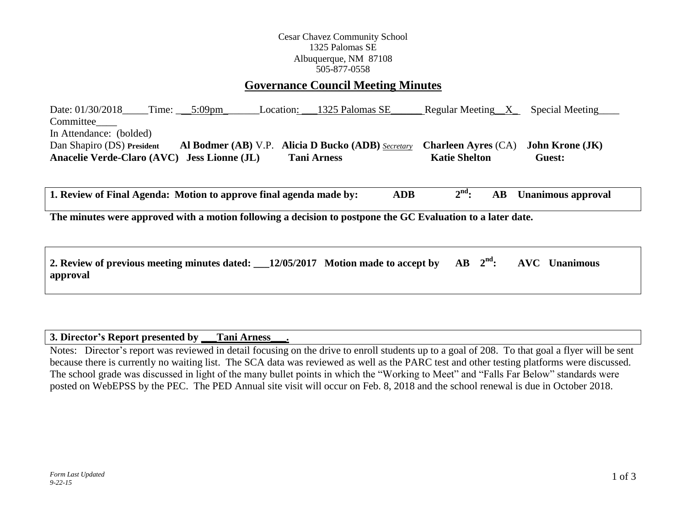## Cesar Chavez Community School 1325 Palomas SE Albuquerque, NM 87108 505-877-0558

# **Governance Council Meeting Minutes**

Date: 01/30/2018\_\_\_\_Time: \_\_\_\_5:09pm\_\_\_\_\_\_\_\_\_Location: \_\_\_1325 Palomas SE\_\_\_\_\_\_\_ Regular Meeting\_\_X\_\_\_\_Special Meeting Committee\_\_\_\_ In Attendance: (bolded) Dan Shapiro (DS) **President Al Bodmer (AB)** V.P. **Alicia D Bucko (ADB)** *Secretary* **Charleen Ayres** (CA) **John Krone (JK) Anacelie Verde-Claro (AVC) Jess Lionne (JL) Tani Arness Katie Shelton Guest:** 

**1. Review of Final Agenda: Motion to approve final agenda made by: ADB 2 nd: AB Unanimous approval**

**The minutes were approved with a motion following a decision to postpone the GC Evaluation to a later date.**

| 2. Review of previous meeting minutes dated: $\_\_12/05/2017$ Motion made to accept by AB $2nd$ : AVC Unanimous |  |  |  |  |
|-----------------------------------------------------------------------------------------------------------------|--|--|--|--|
| approval                                                                                                        |  |  |  |  |

#### **3. Director's Report presented by \_\_\_Tani Arness\_\_\_.**

Notes: Director's report was reviewed in detail focusing on the drive to enroll students up to a goal of 208. To that goal a flyer will be sent because there is currently no waiting list. The SCA data was reviewed as well as the PARC test and other testing platforms were discussed. The school grade was discussed in light of the many bullet points in which the "Working to Meet" and "Falls Far Below" standards were posted on WebEPSS by the PEC. The PED Annual site visit will occur on Feb. 8, 2018 and the school renewal is due in October 2018.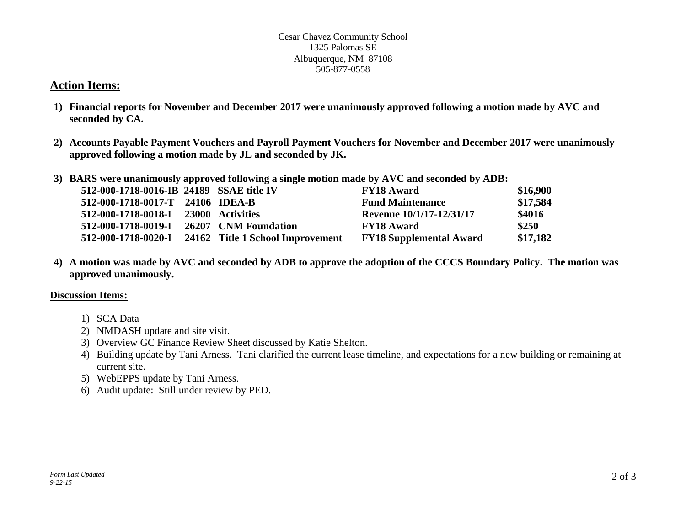#### Cesar Chavez Community School 1325 Palomas SE Albuquerque, NM 87108 505-877-0558

# **Action Items:**

- **1) Financial reports for November and December 2017 were unanimously approved following a motion made by AVC and seconded by CA.**
- **2) Accounts Payable Payment Vouchers and Payroll Payment Vouchers for November and December 2017 were unanimously approved following a motion made by JL and seconded by JK.**
- **3) BARS were unanimously approved following a single motion made by AVC and seconded by ADB:**

| 512-000-1718-0016-IB 24189 SSAE title IV |                                                      | <b>FY18 Award</b>              | \$16,900 |
|------------------------------------------|------------------------------------------------------|--------------------------------|----------|
| 512-000-1718-0017-T 24106 IDEA-B         |                                                      | <b>Fund Maintenance</b>        | \$17,584 |
| 512-000-1718-0018-I 23000 Activities     |                                                      | Revenue 10/1/17-12/31/17       | \$4016   |
| 512-000-1718-0019-I 26207 CNM Foundation |                                                      | <b>FY18 Award</b>              | \$250    |
|                                          | 512-000-1718-0020-I 24162 Title 1 School Improvement | <b>FY18 Supplemental Award</b> | \$17,182 |

**4) A motion was made by AVC and seconded by ADB to approve the adoption of the CCCS Boundary Policy. The motion was approved unanimously.**

## **Discussion Items:**

- 1) SCA Data
- 2) NMDASH update and site visit.
- 3) Overview GC Finance Review Sheet discussed by Katie Shelton.
- 4) Building update by Tani Arness. Tani clarified the current lease timeline, and expectations for a new building or remaining at current site.
- 5) WebEPPS update by Tani Arness.
- 6) Audit update: Still under review by PED.